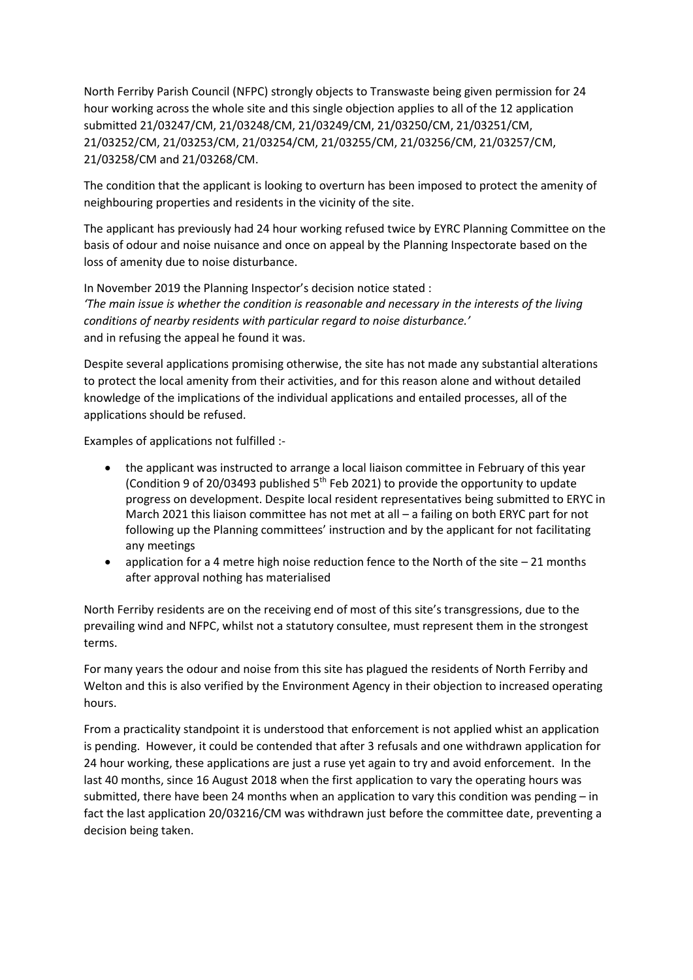North Ferriby Parish Council (NFPC) strongly objects to Transwaste being given permission for 24 hour working across the whole site and this single objection applies to all of the 12 application submitted 21/03247/CM, 21/03248/CM, 21/03249/CM, 21/03250/CM, 21/03251/CM, 21/03252/CM, 21/03253/CM, 21/03254/CM, 21/03255/CM, 21/03256/CM, 21/03257/CM, 21/03258/CM and 21/03268/CM.

The condition that the applicant is looking to overturn has been imposed to protect the amenity of neighbouring properties and residents in the vicinity of the site.

The applicant has previously had 24 hour working refused twice by EYRC Planning Committee on the basis of odour and noise nuisance and once on appeal by the Planning Inspectorate based on the loss of amenity due to noise disturbance.

In November 2019 the Planning Inspector's decision notice stated : *'The main issue is whether the condition is reasonable and necessary in the interests of the living conditions of nearby residents with particular regard to noise disturbance.'* and in refusing the appeal he found it was.

Despite several applications promising otherwise, the site has not made any substantial alterations to protect the local amenity from their activities, and for this reason alone and without detailed knowledge of the implications of the individual applications and entailed processes, all of the applications should be refused.

Examples of applications not fulfilled :-

- the applicant was instructed to arrange a local liaison committee in February of this year (Condition 9 of 20/03493 published  $5<sup>th</sup>$  Feb 2021) to provide the opportunity to update progress on development. Despite local resident representatives being submitted to ERYC in March 2021 this liaison committee has not met at all – a failing on both ERYC part for not following up the Planning committees' instruction and by the applicant for not facilitating any meetings
- application for a 4 metre high noise reduction fence to the North of the site 21 months after approval nothing has materialised

North Ferriby residents are on the receiving end of most of this site's transgressions, due to the prevailing wind and NFPC, whilst not a statutory consultee, must represent them in the strongest terms.

For many years the odour and noise from this site has plagued the residents of North Ferriby and Welton and this is also verified by the Environment Agency in their objection to increased operating hours.

From a practicality standpoint it is understood that enforcement is not applied whist an application is pending. However, it could be contended that after 3 refusals and one withdrawn application for 24 hour working, these applications are just a ruse yet again to try and avoid enforcement. In the last 40 months, since 16 August 2018 when the first application to vary the operating hours was submitted, there have been 24 months when an application to vary this condition was pending – in fact the last application 20/03216/CM was withdrawn just before the committee date, preventing a decision being taken.